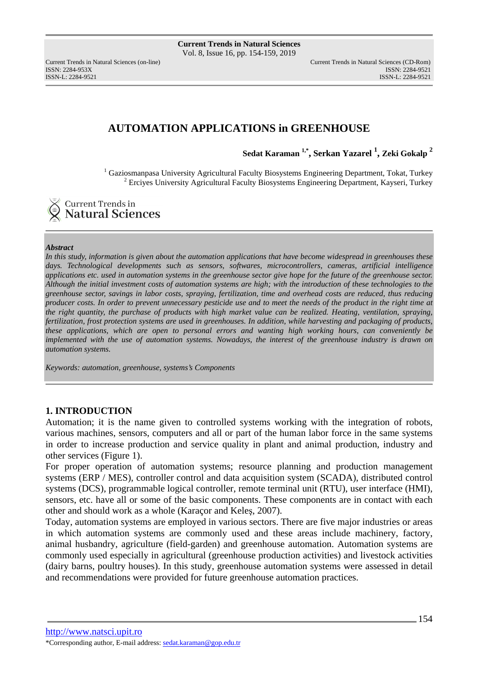ISSN: 2284-953XISSN: 2284-9521

# **AUTOMATION APPLICATIONS in GREENHOUSE**

**Sedat Karaman 1,\* , Serkan Yazarel <sup>1</sup> , Zeki Gokalp <sup>2</sup>**

<sup>1</sup> Gaziosmanpasa University Agricultural Faculty Biosystems Engineering Department, Tokat, Turkey <sup>2</sup> Erciyes University Agricultural Faculty Biosystems Engineering Department, Kayseri, Turkey

Current Trends in **Natural Sciences** 

### *Abstract*

*In this study, information is given about the automation applications that have become widespread in greenhouses these days. Technological developments such as sensors, softwares, microcontrollers, cameras, artificial intelligence applications etc. used in automation systems in the greenhouse sector give hope for the future of the greenhouse sector. Although the initial investment costs of automation systems are high; with the introduction of these technologies to the greenhouse sector, savings in labor costs, spraying, fertilization, time and overhead costs are reduced, thus reducing producer costs. In order to prevent unnecessary pesticide use and to meet the needs of the product in the right time at the right quantity, the purchase of products with high market value can be realized. Heating, ventilation, spraying, fertilization, frost protection systems are used in greenhouses. In addition, while harvesting and packaging of products, these applications, which are open to personal errors and wanting high working hours, can conveniently be implemented with the use of automation systems. Nowadays, the interest of the greenhouse industry is drawn on automation systems.* 

*Keywords: automation, greenhouse, systems's Components* 

# **1. INTRODUCTION**

Automation; it is the name given to controlled systems working with the integration of robots, various machines, sensors, computers and all or part of the human labor force in the same systems in order to increase production and service quality in plant and animal production, industry and other services (Figure 1).

For proper operation of automation systems; resource planning and production management systems (ERP / MES), controller control and data acquisition system (SCADA), distributed control systems (DCS), programmable logical controller, remote terminal unit (RTU), user interface (HMI), sensors, etc. have all or some of the basic components. These components are in contact with each other and should work as a whole (Karaçor and Keleş, 2007).

Today, automation systems are employed in various sectors. There are five major industries or areas in which automation systems are commonly used and these areas include machinery, factory, animal husbandry, agriculture (field-garden) and greenhouse automation. Automation systems are commonly used especially in agricultural (greenhouse production activities) and livestock activities (dairy barns, poultry houses). In this study, greenhouse automation systems were assessed in detail and recommendations were provided for future greenhouse automation practices.

http://www.natsci.upit.ro \*Corresponding author, E-mail address: sedat.karaman@gop.edu.tr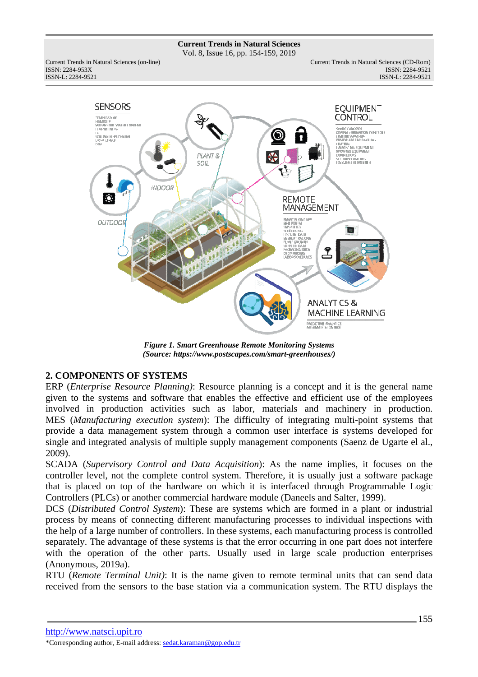Vol. 8, Issue 16, pp. 154-159, 2019

Current Trends in Natural Sciences (on-line) Current Trends in Natural Sciences (CD-Rom) ISSN: 2284-953XISSN: 2284-9521 ISSN-L: 2284-9521



*Figure 1. Smart Greenhouse Remote Monitoring Systems (Source: https://www.postscapes.com/smart-greenhouses/)* 

# **2. COMPONENTS OF SYSTEMS**

ERP (*Enterprise Resource Planning)*: Resource planning is a concept and it is the general name given to the systems and software that enables the effective and efficient use of the employees involved in production activities such as labor, materials and machinery in production. MES (*Manufacturing execution system*): The difficulty of integrating multi-point systems that provide a data management system through a common user interface is systems developed for single and integrated analysis of multiple supply management components (Saenz de Ugarte el al., 2009).

SCADA (*Supervisory Control and Data Acquisition*): As the name implies, it focuses on the controller level, not the complete control system. Therefore, it is usually just a software package that is placed on top of the hardware on which it is interfaced through Programmable Logic Controllers (PLCs) or another commercial hardware module (Daneels and Salter, 1999).

DCS (*Distributed Control System*): These are systems which are formed in a plant or industrial process by means of connecting different manufacturing processes to individual inspections with the help of a large number of controllers. In these systems, each manufacturing process is controlled separately. The advantage of these systems is that the error occurring in one part does not interfere with the operation of the other parts. Usually used in large scale production enterprises (Anonymous, 2019a).

RTU (*Remote Terminal Unit)*: It is the name given to remote terminal units that can send data received from the sensors to the base station via a communication system. The RTU displays the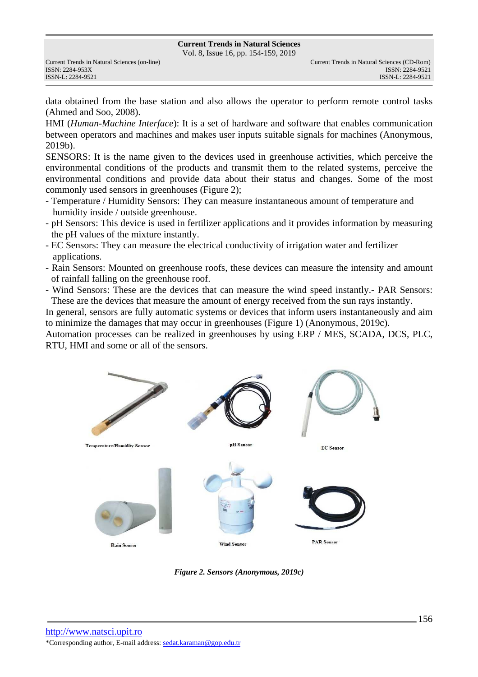Vol. 8, Issue 16, pp. 154-159, 2019

data obtained from the base station and also allows the operator to perform remote control tasks (Ahmed and Soo, 2008).

HMI (*Human-Machine Interface*): It is a set of hardware and software that enables communication between operators and machines and makes user inputs suitable signals for machines (Anonymous, 2019b).

SENSORS: It is the name given to the devices used in greenhouse activities, which perceive the environmental conditions of the products and transmit them to the related systems, perceive the environmental conditions and provide data about their status and changes. Some of the most commonly used sensors in greenhouses (Figure 2);

- Temperature / Humidity Sensors: They can measure instantaneous amount of temperature and humidity inside / outside greenhouse.
- pH Sensors: This device is used in fertilizer applications and it provides information by measuring the pH values of the mixture instantly.
- EC Sensors: They can measure the electrical conductivity of irrigation water and fertilizer applications.
- Rain Sensors: Mounted on greenhouse roofs, these devices can measure the intensity and amount of rainfall falling on the greenhouse roof.
- Wind Sensors: These are the devices that can measure the wind speed instantly.- PAR Sensors: These are the devices that measure the amount of energy received from the sun rays instantly.

In general, sensors are fully automatic systems or devices that inform users instantaneously and aim to minimize the damages that may occur in greenhouses (Figure 1) (Anonymous, 2019c).

Automation processes can be realized in greenhouses by using ERP / MES, SCADA, DCS, PLC, RTU, HMI and some or all of the sensors.



*Figure 2. Sensors (Anonymous, 2019c)*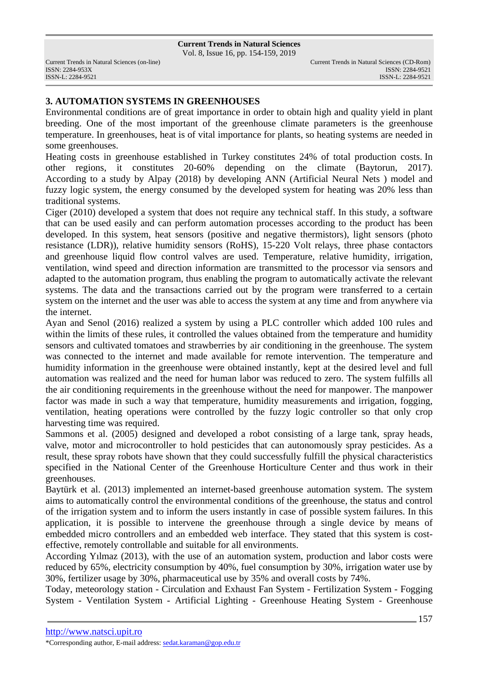Vol. 8, Issue 16, pp. 154-159, 2019

ISSN: 2284-953XISSN: 2284-9521

# **3. AUTOMATION SYSTEMS IN GREENHOUSES**

Environmental conditions are of great importance in order to obtain high and quality yield in plant breeding. One of the most important of the greenhouse climate parameters is the greenhouse temperature. In greenhouses, heat is of vital importance for plants, so heating systems are needed in some greenhouses.

Heating costs in greenhouse established in Turkey constitutes 24% of total production costs. In other regions, it constitutes 20-60% depending on the climate (Baytorun, 2017). According to a study by Alpay (2018) by developing ANN (Artificial Neural Nets ) model and fuzzy logic system, the energy consumed by the developed system for heating was 20% less than traditional systems.

Ciger (2010) developed a system that does not require any technical staff. In this study, a software that can be used easily and can perform automation processes according to the product has been developed. In this system, heat sensors (positive and negative thermistors), light sensors (photo resistance (LDR)), relative humidity sensors (RoHS), 15-220 Volt relays, three phase contactors and greenhouse liquid flow control valves are used. Temperature, relative humidity, irrigation, ventilation, wind speed and direction information are transmitted to the processor via sensors and adapted to the automation program, thus enabling the program to automatically activate the relevant systems. The data and the transactions carried out by the program were transferred to a certain system on the internet and the user was able to access the system at any time and from anywhere via the internet.

Ayan and Senol (2016) realized a system by using a PLC controller which added 100 rules and within the limits of these rules, it controlled the values obtained from the temperature and humidity sensors and cultivated tomatoes and strawberries by air conditioning in the greenhouse. The system was connected to the internet and made available for remote intervention. The temperature and humidity information in the greenhouse were obtained instantly, kept at the desired level and full automation was realized and the need for human labor was reduced to zero. The system fulfills all the air conditioning requirements in the greenhouse without the need for manpower. The manpower factor was made in such a way that temperature, humidity measurements and irrigation, fogging, ventilation, heating operations were controlled by the fuzzy logic controller so that only crop harvesting time was required.

Sammons et al. (2005) designed and developed a robot consisting of a large tank, spray heads, valve, motor and microcontroller to hold pesticides that can autonomously spray pesticides. As a result, these spray robots have shown that they could successfully fulfill the physical characteristics specified in the National Center of the Greenhouse Horticulture Center and thus work in their greenhouses.

Baytürk et al. (2013) implemented an internet-based greenhouse automation system. The system aims to automatically control the environmental conditions of the greenhouse, the status and control of the irrigation system and to inform the users instantly in case of possible system failures. In this application, it is possible to intervene the greenhouse through a single device by means of embedded micro controllers and an embedded web interface. They stated that this system is costeffective, remotely controllable and suitable for all environments.

According Yılmaz (2013), with the use of an automation system, production and labor costs were reduced by 65%, electricity consumption by 40%, fuel consumption by 30%, irrigation water use by 30%, fertilizer usage by 30%, pharmaceutical use by 35% and overall costs by 74%.

Today, meteorology station - Circulation and Exhaust Fan System - Fertilization System - Fogging System - Ventilation System - Artificial Lighting - Greenhouse Heating System - Greenhouse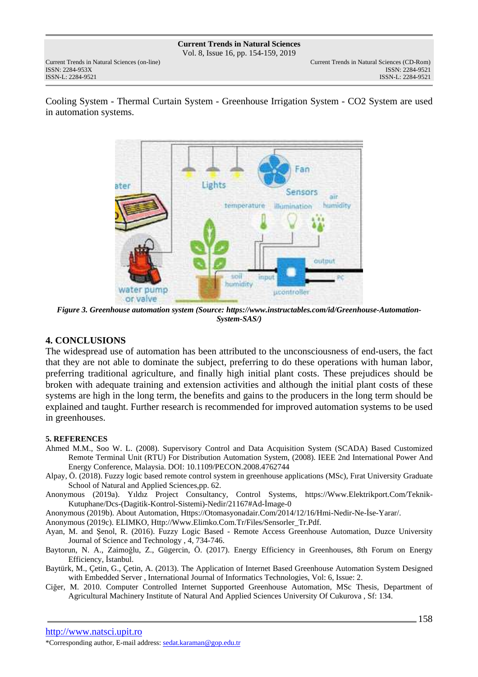### **Current Trends in Natural Sciences** Vol. 8, Issue 16, pp. 154-159, 2019

ISSN: 2284-953XISSN: 2284-9521

Cooling System - Thermal Curtain System - Greenhouse Irrigation System - CO2 System are used in automation systems.



*Figure 3. Greenhouse automation system (Source: https://www.instructables.com/id/Greenhouse-Automation-System-SAS/)* 

# **4. CONCLUSIONS**

The widespread use of automation has been attributed to the unconsciousness of end-users, the fact that they are not able to dominate the subject, preferring to do these operations with human labor, preferring traditional agriculture, and finally high initial plant costs. These prejudices should be broken with adequate training and extension activities and although the initial plant costs of these systems are high in the long term, the benefits and gains to the producers in the long term should be explained and taught. Further research is recommended for improved automation systems to be used in greenhouses.

### **5. REFERENCES**

- Ahmed M.M., Soo W. L. (2008). Supervisory Control and Data Acquisition System (SCADA) Based Customized Remote Terminal Unit (RTU) For Distribution Automation System, (2008). IEEE 2nd International Power And Energy Conference, Malaysia. DOI: 10.1109/PECON.2008.4762744
- Alpay, Ö. (2018). Fuzzy logic based remote control system in greenhouse applications (MSc), Fırat University Graduate School of Natural and Applied Sciences,pp. 62.
- Anonymous (2019a). Yıldız Project Consultancy, Control Systems, https://Www.Elektrikport.Com/Teknik-Kutuphane/Dcs-(Dagitik-Kontrol-Sistemi)-Nedir/21167#Ad-İmage-0

Anonymous (2019b). About Automation, Https://Otomasyonadair.Com/2014/12/16/Hmi-Nedir-Ne-İse-Yarar/.

Anonymous (2019c). ELIMKO, Http://Www.Elimko.Com.Tr/Files/Sensorler\_Tr.Pdf.

- Ayan, M. and Şenol, R. (2016). Fuzzy Logic Based Remote Access Greenhouse Automation, Duzce University Journal of Science and Technology , 4, 734-746.
- Baytorun, N. A., Zaimoğlu, Z., Gügercin, Ö. (2017). Energy Efficiency in Greenhouses, 8th Forum on Energy Efficiency, İstanbul.
- Baytürk, M., Çetin, G., Çetin, A. (2013). The Application of Internet Based Greenhouse Automation System Designed with Embedded Server , International Journal of Informatics Technologies, Vol: 6, Issue: 2.
- Ciğer, M. 2010. Computer Controlled Internet Supported Greenhouse Automation, MSc Thesis, Department of Agricultural Machinery Institute of Natural And Applied Sciences University Of Cukurova , Sf: 134.

http://www.natsci.upit.ro

<sup>\*</sup>Corresponding author, E-mail address: sedat.karaman@gop.edu.tr